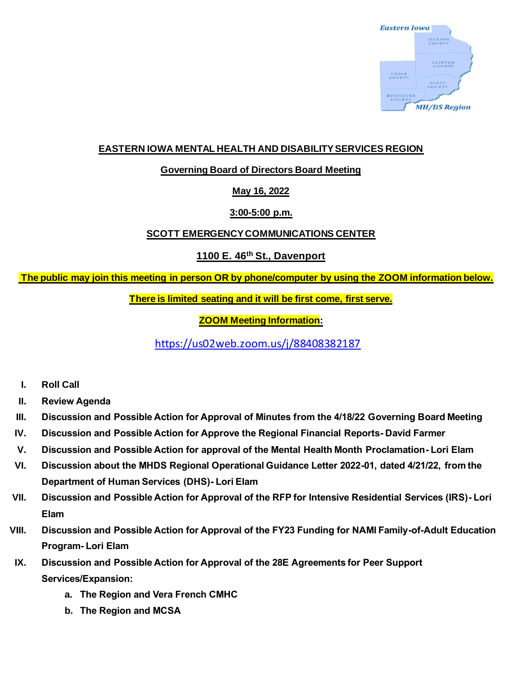

# **EASTERN IOWA MENTAL HEALTH AND DISABILITY SERVICES REGION**

## **Governing Board of Directors Board Meeting**

## **May 16, 2022**

## **3:00-5:00 p.m.**

## **SCOTT EMERGENCY COMMUNICATIONS CENTER**

## **1100 E. 46th St., Davenport**

## **The public may join this meeting in person OR by phone/computer by using the ZOOM information below.**

**There is limited seating and it will be first come, first serve.**

## **ZOOM Meeting Information:**

<https://us02web.zoom.us/j/88408382187>

- **I. Roll Call**
- **II. Review Agenda**
- **III. Discussion and Possible Action for Approval of Minutes from the 4/18/22 Governing Board Meeting**
- **IV. Discussion and Possible Action for Approve the Regional Financial Reports- David Farmer**
- **V. Discussion and Possible Action for approval of the Mental Health Month Proclamation- Lori Elam**
- **VI. Discussion about the MHDS Regional Operational Guidance Letter 2022-01, dated 4/21/22, from the Department of Human Services (DHS)- Lori Elam**
- **VII. Discussion and Possible Action for Approval of the RFP for Intensive Residential Services (IRS)- Lori Elam**
- **VIII. Discussion and Possible Action for Approval of the FY23 Funding for NAMI Family-of-Adult Education Program- Lori Elam**
- **IX. Discussion and Possible Action for Approval of the 28E Agreements for Peer Support Services/Expansion:** 
	- **a. The Region and Vera French CMHC**
	- **b. The Region and MCSA**